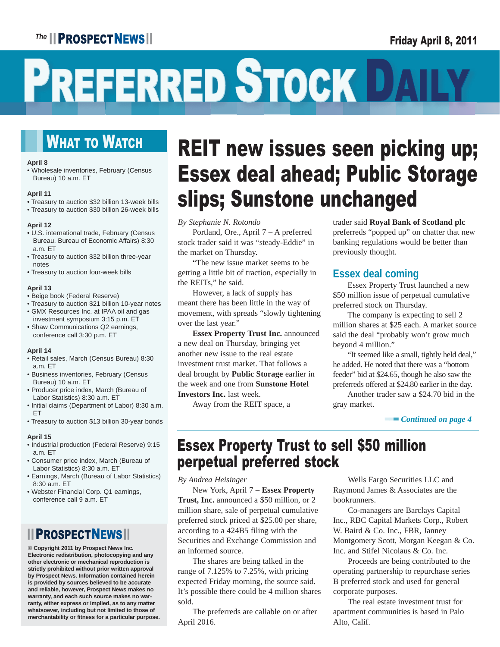## <sup>The</sup> **PROSPECTNEWS** 1 **The Example 2011 Friday April 8, 2011**

# PREFERRED STOCK DA

## **WHAT TO WATCH**

#### **April 8**

• Wholesale inventories, February (Census Bureau) 10 a.m. ET

#### **April 11**

- Treasury to auction \$32 billion 13-week bills
- Treasury to auction \$30 billion 26-week bills

#### **April 12**

- U.S. international trade, February (Census Bureau, Bureau of Economic Affairs) 8:30 a.m. ET
- Treasury to auction \$32 billion three-year notes
- Treasury to auction four-week bills

#### **April 13**

- Beige book (Federal Reserve)
- Treasury to auction \$21 billion 10-year notes
- GMX Resources Inc. at IPAA oil and gas investment symposium 3:15 p.m. ET
- Shaw Communications Q2 earnings, conference call 3:30 p.m. ET

#### **April 14**

- Retail sales, March (Census Bureau) 8:30 a.m. ET
- Business inventories, February (Census Bureau) 10 a.m. ET
- Producer price index, March (Bureau of Labor Statistics) 8:30 a.m. ET
- Initial claims (Department of Labor) 8:30 a.m. ET
- Treasury to auction \$13 billion 30-year bonds

#### **April 15**

- Industrial production (Federal Reserve) 9:15 a.m. ET
- Consumer price index, March (Bureau of Labor Statistics) 8:30 a.m. ET
- Earnings, March (Bureau of Labor Statistics) 8:30 a.m. ET
- Webster Financial Corp. Q1 earnings, conference call 9 a.m. ET

## **III PROSPECTNEWS**

**© Copyright 2011 by Prospect News Inc. Electronic redistribution, photocopying and any other electronic or mechanical reproduction is strictly prohibited without prior written approval by Prospect News. Information contained herein is provided by sources believed to be accurate and reliable, however, Prospect News makes no warranty, and each such source makes no warranty, either express or implied, as to any matter whatsoever, including but not limited to those of merchantability or fitness for a particular purpose.**

# REIT new issues seen picking up; Essex deal ahead; Public Storage slips; Sunstone unchanged

#### *By Stephanie N. Rotondo*

 Portland, Ore., April 7 – A preferred stock trader said it was "steady-Eddie" in the market on Thursday.

 "The new issue market seems to be getting a little bit of traction, especially in the REITs," he said.

 However, a lack of supply has meant there has been little in the way of movement, with spreads "slowly tightening over the last year."

**Essex Property Trust Inc.** announced a new deal on Thursday, bringing yet another new issue to the real estate investment trust market. That follows a deal brought by **Public Storage** earlier in the week and one from **Sunstone Hotel Investors Inc.** last week.

Away from the REIT space, a

trader said **Royal Bank of Scotland plc** preferreds "popped up" on chatter that new banking regulations would be better than previously thought.

## **Essex deal coming**

 Essex Property Trust launched a new \$50 million issue of perpetual cumulative preferred stock on Thursday.

 The company is expecting to sell 2 million shares at \$25 each. A market source said the deal "probably won't grow much beyond 4 million."

 "It seemed like a small, tightly held deal," he added. He noted that there was a "bottom feeder" bid at \$24.65, though he also saw the preferreds offered at \$24.80 earlier in the day.

 Another trader saw a \$24.70 bid in the gray market.

#### ▬▬▬ *Continued on page 4*

## Essex Property Trust to sell \$50 million perpetual preferred stock

*By Andrea Heisinger*

 New York, April 7 – **Essex Property Trust, Inc.** announced a \$50 million, or 2 million share, sale of perpetual cumulative preferred stock priced at \$25.00 per share, according to a 424B5 filing with the Securities and Exchange Commission and an informed source.

 The shares are being talked in the range of 7.125% to 7.25%, with pricing expected Friday morning, the source said. It's possible there could be 4 million shares sold.

 The preferreds are callable on or after April 2016.

 Wells Fargo Securities LLC and Raymond James & Associates are the bookrunners.

 Co-managers are Barclays Capital Inc., RBC Capital Markets Corp., Robert W. Baird & Co. Inc., FBR, Janney Montgomery Scott, Morgan Keegan & Co. Inc. and Stifel Nicolaus & Co. Inc.

 Proceeds are being contributed to the operating partnership to repurchase series B preferred stock and used for general corporate purposes.

 The real estate investment trust for apartment communities is based in Palo Alto, Calif.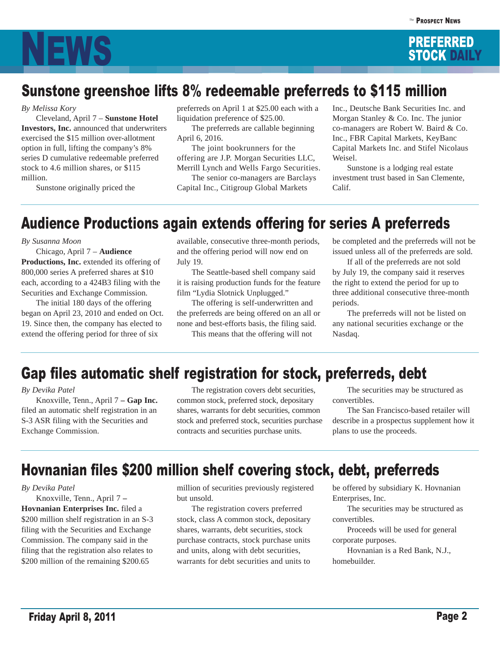

## Sunstone greenshoe lifts 8% redeemable preferreds to \$115 million

*By Melissa Kory*

 Cleveland, April 7 – **Sunstone Hotel Investors, Inc.** announced that underwriters exercised the \$15 million over-allotment option in full, lifting the company's 8% series D cumulative redeemable preferred stock to 4.6 million shares, or \$115 million.

Sunstone originally priced the

preferreds on April 1 at \$25.00 each with a liquidation preference of \$25.00.

 The preferreds are callable beginning April 6, 2016.

 The joint bookrunners for the offering are J.P. Morgan Securities LLC, Merrill Lynch and Wells Fargo Securities.

 The senior co-managers are Barclays Capital Inc., Citigroup Global Markets

Inc., Deutsche Bank Securities Inc. and Morgan Stanley & Co. Inc. The junior co-managers are Robert W. Baird & Co. Inc., FBR Capital Markets, KeyBanc Capital Markets Inc. and Stifel Nicolaus Weisel.

 Sunstone is a lodging real estate investment trust based in San Clemente, Calif.

## Audience Productions again extends offering for series A preferreds

*By Susanna Moon*

 Chicago, April 7 – **Audience Productions, Inc.** extended its offering of 800,000 series A preferred shares at \$10 each, according to a 424B3 filing with the Securities and Exchange Commission.

 The initial 180 days of the offering began on April 23, 2010 and ended on Oct. 19. Since then, the company has elected to extend the offering period for three of six

available, consecutive three-month periods, and the offering period will now end on July 19.

 The Seattle-based shell company said it is raising production funds for the feature film "Lydia Slotnick Unplugged."

 The offering is self-underwritten and the preferreds are being offered on an all or none and best-efforts basis, the filing said.

This means that the offering will not

be completed and the preferreds will not be issued unless all of the preferreds are sold.

 If all of the preferreds are not sold by July 19, the company said it reserves the right to extend the period for up to three additional consecutive three-month periods.

 The preferreds will not be listed on any national securities exchange or the Nasdaq.

## Gap files automatic shelf registration for stock, preferreds, debt

#### *By Devika Patel*

 Knoxville, Tenn., April 7 **– Gap Inc.**  filed an automatic shelf registration in an S-3 ASR filing with the Securities and Exchange Commission.

 The registration covers debt securities, common stock, preferred stock, depositary shares, warrants for debt securities, common stock and preferred stock, securities purchase contracts and securities purchase units.

 The securities may be structured as convertibles.

 The San Francisco-based retailer will describe in a prospectus supplement how it plans to use the proceeds.

## Hovnanian files \$200 million shelf covering stock, debt, preferreds

#### *By Devika Patel*

 Knoxville, Tenn., April 7 **– Hovnanian Enterprises Inc.** filed a \$200 million shelf registration in an S-3 filing with the Securities and Exchange Commission. The company said in the filing that the registration also relates to \$200 million of the remaining \$200.65

million of securities previously registered but unsold.

 The registration covers preferred stock, class A common stock, depositary shares, warrants, debt securities, stock purchase contracts, stock purchase units and units, along with debt securities, warrants for debt securities and units to

be offered by subsidiary K. Hovnanian Enterprises, Inc.

 The securities may be structured as convertibles.

 Proceeds will be used for general corporate purposes.

 Hovnanian is a Red Bank, N.J., homebuilder.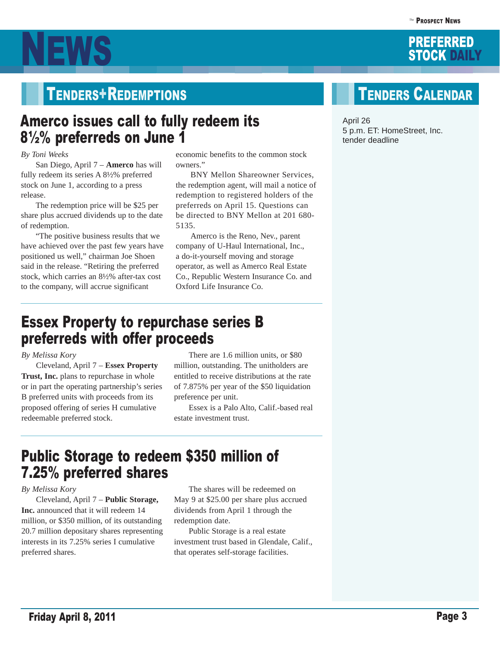

## TENDERS+REDEMPTIONS TENDERS CALENDAR

## Amerco issues call to fully redeem its 8½% preferreds on June 1

#### *By Toni Weeks*

 San Diego, April 7 – **Amerco** has will fully redeem its series A 8½% preferred stock on June 1, according to a press release.

 The redemption price will be \$25 per share plus accrued dividends up to the date of redemption.

 "The positive business results that we have achieved over the past few years have positioned us well," chairman Joe Shoen said in the release. "Retiring the preferred stock, which carries an 8½% after-tax cost to the company, will accrue significant

economic benefits to the common stock owners."

 BNY Mellon Shareowner Services, the redemption agent, will mail a notice of redemption to registered holders of the preferreds on April 15. Questions can be directed to BNY Mellon at 201 680- 5135.

 Amerco is the Reno, Nev., parent company of U-Haul International, Inc., a do-it-yourself moving and storage operator, as well as Amerco Real Estate Co., Republic Western Insurance Co. and Oxford Life Insurance Co.

## Essex Property to repurchase series B preferreds with offer proceeds

### *By Melissa Kory*

 Cleveland, April 7 – **Essex Property**  Trust, Inc. plans to repurchase in whole or in part the operating partnership's series B preferred units with proceeds from its proposed offering of series H cumulative redeemable preferred stock.

 There are 1.6 million units, or \$80 million, outstanding. The unitholders are entitled to receive distributions at the rate of 7.875% per year of the \$50 liquidation preference per unit.

 Essex is a Palo Alto, Calif.-based real estate investment trust.

## Public Storage to redeem \$350 million of 7.25% preferred shares

### *By Melissa Kory*

 Cleveland, April 7 – **Public Storage, Inc.** announced that it will redeem 14 million, or \$350 million, of its outstanding 20.7 million depositary shares representing interests in its 7.25% series I cumulative preferred shares.

 The shares will be redeemed on May 9 at \$25.00 per share plus accrued dividends from April 1 through the redemption date.

 Public Storage is a real estate investment trust based in Glendale, Calif., that operates self-storage facilities.

April 26 5 p.m. ET: HomeStreet, Inc. tender deadline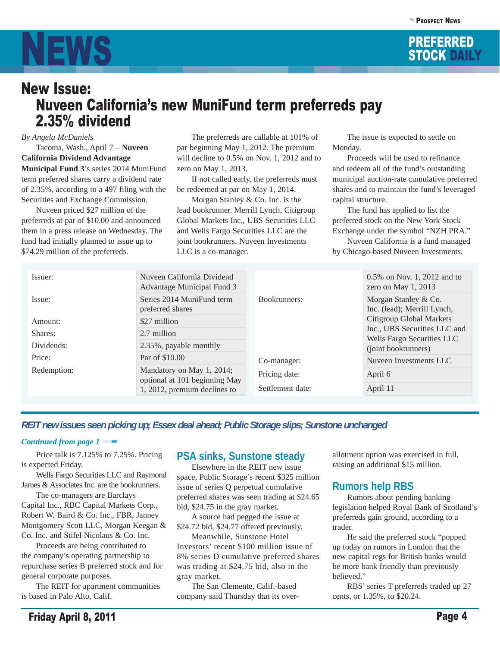



#### *By Angela McDaniels*

 Tacoma, Wash., April 7 – **Nuveen California Dividend Advantage Municipal Fund 3**'s series 2014 MuniFund term preferred shares carry a dividend rate of 2.35%, according to a 497 filing with the Securities and Exchange Commission.

 Nuveen priced \$27 million of the preferreds at par of \$10.00 and announced them in a press release on Wednesday. The fund had initially planned to issue up to \$74.29 million of the preferreds.

 The preferreds are callable at 101% of par beginning May 1, 2012. The premium will decline to 0.5% on Nov. 1, 2012 and to zero on May 1, 2013.

 If not called early, the preferreds must be redeemed at par on May 1, 2014.

 Morgan Stanley & Co. Inc. is the lead bookrunner. Merrill Lynch, Citigroup Global Markets Inc., UBS Securities LLC and Wells Fargo Securities LLC are the joint bookrunners. Nuveen Investments LLC is a co-manager.

 The issue is expected to settle on Monday.

 Proceeds will be used to refinance and redeem all of the fund's outstanding municipal auction-rate cumulative preferred shares and to maintain the fund's leveraged capital structure.

 The fund has applied to list the preferred stock on the New York Stock Exchange under the symbol "NZH PRA."

 Nuveen California is a fund managed by Chicago-based Nuveen Investments.

| Issuer:                                                                   | Nuveen California Dividend<br>Advantage Municipal Fund 3 |                  | 0.5% on Nov. 1, 2012 and to<br>zero on May $1, 2013$                                                                                          |  |  |
|---------------------------------------------------------------------------|----------------------------------------------------------|------------------|-----------------------------------------------------------------------------------------------------------------------------------------------|--|--|
| Issue:                                                                    | Series 2014 MuniFund term<br>preferred shares            | Bookrunners:     | Morgan Stanley & Co.<br>Inc. (lead); Merrill Lynch,<br>Citigroup Global Markets<br>Inc., UBS Securities LLC and<br>Wells Fargo Securities LLC |  |  |
| Amount:                                                                   | \$27 million                                             |                  |                                                                                                                                               |  |  |
| Shares:                                                                   | 2.7 million                                              |                  |                                                                                                                                               |  |  |
| Dividends:                                                                | 2.35%, payable monthly                                   |                  | (joint bookrunners)                                                                                                                           |  |  |
| Price:                                                                    | Par of \$10.00                                           | Co-manager:      | Nuveen Investments LLC                                                                                                                        |  |  |
| Mandatory on May 1, 2014;<br>Redemption:<br>optional at 101 beginning May | Pricing date:                                            | April 6          |                                                                                                                                               |  |  |
|                                                                           | 1, 2012, premium declines to                             | Settlement date: | April 11                                                                                                                                      |  |  |

### *REIT new issues seen picking up; Essex deal ahead; Public Storage slips; Sunstone unchanged*

#### *Continued from page 1* ■

 Price talk is 7.125% to 7.25%. Pricing is expected Friday.

 Wells Fargo Securities LLC and Raymond James & Associates Inc. are the bookrunners.

 The co-managers are Barclays Capital Inc., RBC Capital Markets Corp., Robert W. Baird & Co. Inc., FBR, Janney Montgomery Scott LLC, Morgan Keegan & Co. Inc. and Stifel Nicolaus & Co. Inc.

 Proceeds are being contributed to the company's operating partnership to repurchase series B preferred stock and for general corporate purposes.

 The REIT for apartment communities is based in Palo Alto, Calif.

### **PSA sinks, Sunstone steady**

 Elsewhere in the REIT new issue space, Public Storage's recent \$325 million issue of series Q perpetual cumulative preferred shares was seen trading at \$24.65 bid, \$24.75 in the gray market.

 A source had pegged the issue at \$24.72 bid, \$24.77 offered previously.

 Meanwhile, Sunstone Hotel Investors' recent \$100 million issue of 8% series D cumulative preferred shares was trading at \$24.75 bid, also in the gray market.

 The San Clemente, Calif.-based company said Thursday that its over-

allotment option was exercised in full, raising an additional \$15 million.

### **Rumors help RBS**

 Rumors about pending banking legislation helped Royal Bank of Scotland's preferreds gain ground, according to a trader.

 He said the preferred stock "popped up today on rumors in London that the new capital regs for British banks would be more bank friendly than previously believed."

 RBS' series T preferreds traded up 27 cents, or 1.35%, to \$20.24.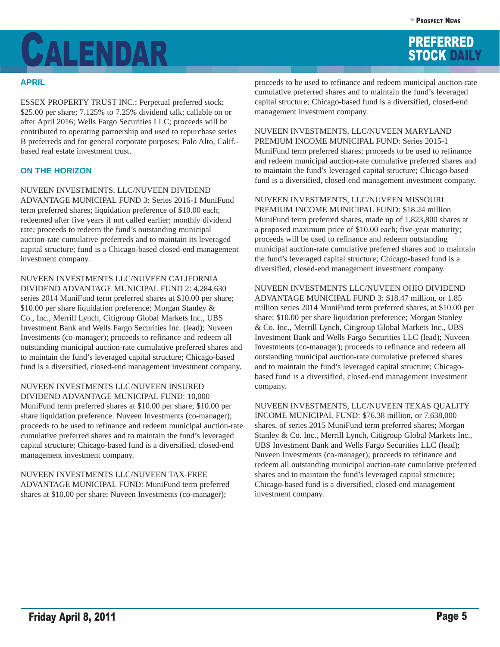# **CALENDAR** PREFERRED STOCK DAILY

### **APRIL**

ESSEX PROPERTY TRUST INC.: Perpetual preferred stock; \$25.00 per share; 7.125% to 7.25% dividend talk; callable on or after April 2016; Wells Fargo Securities LLC; proceeds will be contributed to operating partnership and used to repurchase series B preferreds and for general corporate purposes; Palo Alto, Calif. based real estate investment trust.

## **ON THE HORIZON**

NUVEEN INVESTMENTS, LLC/NUVEEN DIVIDEND ADVANTAGE MUNICIPAL FUND 3: Series 2016-1 MuniFund term preferred shares; liquidation preference of \$10.00 each; redeemed after five years if not called earlier; monthly dividend rate; proceeds to redeem the fund's outstanding municipal auction-rate cumulative preferreds and to maintain its leveraged capital structure; fund is a Chicago-based closed-end management investment company.

NUVEEN INVESTMENTS LLC/NUVEEN CALIFORNIA DIVIDEND ADVANTAGE MUNICIPAL FUND 2: 4,284,630 series 2014 MuniFund term preferred shares at \$10.00 per share; \$10.00 per share liquidation preference; Morgan Stanley & Co., Inc., Merrill Lynch, Citigroup Global Markets Inc., UBS Investment Bank and Wells Fargo Securities Inc. (lead); Nuveen Investments (co-manager); proceeds to refinance and redeem all outstanding municipal auction-rate cumulative preferred shares and to maintain the fund's leveraged capital structure; Chicago-based fund is a diversified, closed-end management investment company.

NUVEEN INVESTMENTS LLC/NUVEEN INSURED DIVIDEND ADVANTAGE MUNICIPAL FUND: 10,000 MuniFund term preferred shares at \$10.00 per share; \$10.00 per share liquidation preference. Nuveen Investments (co-manager); proceeds to be used to refinance and redeem municipal auction-rate cumulative preferred shares and to maintain the fund's leveraged capital structure; Chicago-based fund is a diversified, closed-end management investment company.

NUVEEN INVESTMENTS LLC/NUVEEN TAX-FREE ADVANTAGE MUNICIPAL FUND: MuniFund term preferred shares at \$10.00 per share; Nuveen Investments (co-manager);

proceeds to be used to refinance and redeem municipal auction-rate cumulative preferred shares and to maintain the fund's leveraged capital structure; Chicago-based fund is a diversified, closed-end management investment company.

NUVEEN INVESTMENTS, LLC/NUVEEN MARYLAND PREMIUM INCOME MUNICIPAL FUND: Series 2015-1 MuniFund term preferred shares; proceeds to be used to refinance and redeem municipal auction-rate cumulative preferred shares and to maintain the fund's leveraged capital structure; Chicago-based fund is a diversified, closed-end management investment company.

NUVEEN INVESTMENTS, LLC/NUVEEN MISSOURI PREMIUM INCOME MUNICIPAL FUND: \$18.24 million MuniFund term preferred shares, made up of 1,823,800 shares at a proposed maximum price of \$10.00 each; five-year maturity; proceeds will be used to refinance and redeem outstanding municipal auction-rate cumulative preferred shares and to maintain the fund's leveraged capital structure; Chicago-based fund is a diversified, closed-end management investment company.

NUVEEN INVESTMENTS LLC/NUVEEN OHIO DIVIDEND ADVANTAGE MUNICIPAL FUND 3: \$18.47 million, or 1.85 million series 2014 MuniFund term preferred shares, at \$10.00 per share; \$10.00 per share liquidation preference; Morgan Stanley & Co. Inc., Merrill Lynch, Citigroup Global Markets Inc., UBS Investment Bank and Wells Fargo Securities LLC (lead); Nuveen Investments (co-manager); proceeds to refinance and redeem all outstanding municipal auction-rate cumulative preferred shares and to maintain the fund's leveraged capital structure; Chicagobased fund is a diversified, closed-end management investment company.

NUVEEN INVESTMENTS, LLC/NUVEEN TEXAS QUALITY INCOME MUNICIPAL FUND: \$76.38 million, or 7,638,000 shares, of series 2015 MuniFund term preferred shares; Morgan Stanley & Co. Inc., Merrill Lynch, Citigroup Global Markets Inc., UBS Investment Bank and Wells Fargo Securities LLC (lead); Nuveen Investments (co-manager); proceeds to refinance and redeem all outstanding municipal auction-rate cumulative preferred shares and to maintain the fund's leveraged capital structure; Chicago-based fund is a diversified, closed-end management investment company.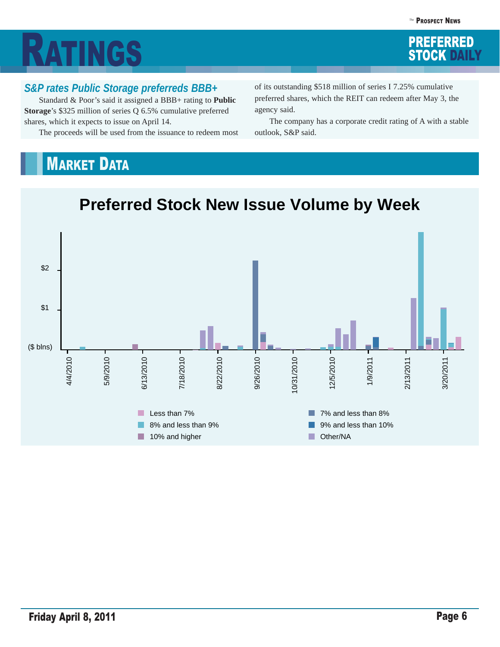# **RATINGS** STOCK DAILY

## *S&P rates Public Storage preferreds BBB+*

 Standard & Poor's said it assigned a BBB+ rating to **Public Storage**'s \$325 million of series Q 6.5% cumulative preferred shares, which it expects to issue on April 14.

The proceeds will be used from the issuance to redeem most

of its outstanding \$518 million of series I 7.25% cumulative preferred shares, which the REIT can redeem after May 3, the agency said.

 The company has a corporate credit rating of A with a stable outlook, S&P said.

## **MARKET DATA**



# **Preferred Stock New Issue Volume by Week**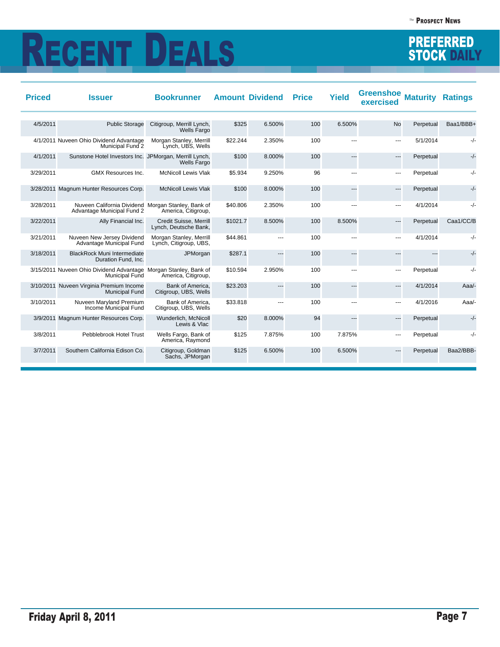# RECENT DEALS STOCK DAILY

| <b>Priced</b> | <b>Issuer</b>                                                                    | <b>Bookrunner</b>                                 |          | <b>Amount Dividend</b> | <b>Price</b> | <b>Yield</b> | <b>Greenshoe</b><br>exercised | <b>Maturity</b> | <b>Ratings</b> |
|---------------|----------------------------------------------------------------------------------|---------------------------------------------------|----------|------------------------|--------------|--------------|-------------------------------|-----------------|----------------|
|               |                                                                                  |                                                   |          |                        |              |              |                               |                 |                |
| 4/5/2011      | <b>Public Storage</b>                                                            | Citigroup, Merrill Lynch,<br>Wells Fargo          | \$325    | 6.500%                 | 100          | 6.500%       | <b>No</b>                     | Perpetual       | Baa1/BBB+      |
|               | 4/1/2011 Nuveen Ohio Dividend Advantage<br>Municipal Fund 2                      | Morgan Stanley, Merrill<br>Lynch, UBS, Wells      | \$22.244 | 2.350%                 | 100          | ---          | ---                           | 5/1/2014        | $-/-$          |
| 4/1/2011      | Sunstone Hotel Investors Inc. JPMorgan, Merrill Lynch,                           | Wells Fargo                                       | \$100    | 8.000%                 | 100          | ---          | $\overline{\phantom{a}}$      | Perpetual       | $-/-$          |
| 3/29/2011     | GMX Resources Inc.                                                               | <b>McNicoll Lewis Vlak</b>                        | \$5.934  | 9.250%                 | 96           | ---          | ---                           | Perpetual       | $-/-$          |
|               | 3/28/2011 Magnum Hunter Resources Corp.                                          | <b>McNicoll Lewis Vlak</b>                        | \$100    | 8.000%                 | 100          | ---          | $---$                         | Perpetual       | $-/-$          |
| 3/28/2011     | Nuveen California Dividend Morgan Stanley, Bank of<br>Advantage Municipal Fund 2 | America, Citigroup,                               | \$40.806 | 2.350%                 | 100          | ---          | ---                           | 4/1/2014        | $-/-$          |
| 3/22/2011     | Ally Financial Inc.                                                              | Credit Suisse, Merrill<br>Lynch, Deutsche Bank,   | \$1021.7 | 8.500%                 | 100          | 8.500%       | $---$                         | Perpetual       | Caa1/CC/B      |
| 3/21/2011     | Nuveen New Jersey Dividend<br>Advantage Municipal Fund                           | Morgan Stanley, Merrill<br>Lynch, Citigroup, UBS, | \$44.861 | $\sim$                 | 100          | ---          | $\overline{a}$                | 4/1/2014        | $-/-$          |
| 3/18/2011     | <b>BlackRock Muni Intermediate</b><br>Duration Fund, Inc.                        | JPMorgan                                          | \$287.1  | $---$                  | 100          | ---          | ---                           | ---             | $-/-$          |
|               | 3/15/2011 Nuveen Ohio Dividend Advantage<br><b>Municipal Fund</b>                | Morgan Stanley, Bank of<br>America, Citigroup,    | \$10.594 | 2.950%                 | 100          | ---          | ---                           | Perpetual       | $-/-$          |
|               | 3/10/2011 Nuveen Virginia Premium Income<br><b>Municipal Fund</b>                | Bank of America.<br>Citigroup, UBS, Wells         | \$23.203 | ---                    | 100          | ---          | ---                           | 4/1/2014        | Aaa/-          |
| 3/10/2011     | Nuveen Maryland Premium<br>Income Municipal Fund                                 | Bank of America.<br>Citigroup, UBS, Wells         | \$33.818 | ---                    | 100          | ---          | ---                           | 4/1/2016        | Aaa/-          |
|               | 3/9/2011 Magnum Hunter Resources Corp.                                           | Wunderlich, McNicoll<br>Lewis & Vlac              | \$20     | 8.000%                 | 94           | ---          | $\overline{\phantom{a}}$      | Perpetual       | $-/-$          |
| 3/8/2011      | Pebblebrook Hotel Trust                                                          | Wells Fargo, Bank of<br>America, Raymond          | \$125    | 7.875%                 | 100          | 7.875%       | ---                           | Perpetual       | $-/-$          |
| 3/7/2011      | Southern California Edison Co.                                                   | Citigroup, Goldman<br>Sachs, JPMorgan             | \$125    | 6.500%                 | 100          | 6.500%       | ---                           | Perpetual       | Baa2/BBB-      |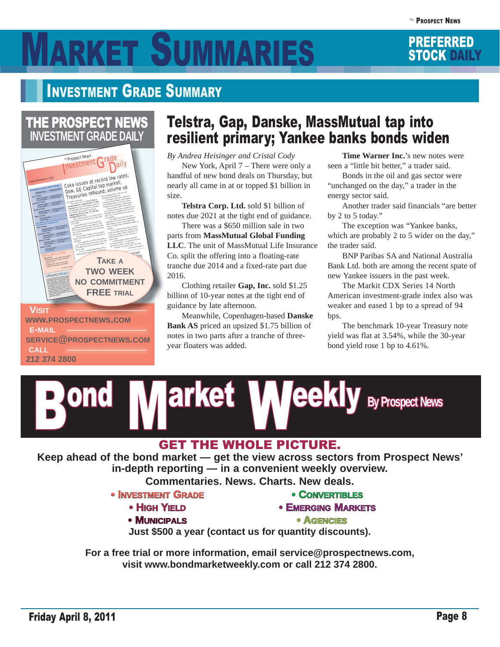# RKET SUMMARIES STOCK DAILY

## INVESTMENT GRADE SUMMARY



## Telstra, Gap, Danske, MassMutual tap into resilient primary; Yankee banks bonds widen

*By Andrea Heisinger and Cristal Cody*  New York, April 7 – There were only a handful of new bond deals on Thursday, but nearly all came in at or topped \$1 billion in size.

**Telstra Corp. Ltd.** sold \$1 billion of notes due 2021 at the tight end of guidance.

 There was a \$650 million sale in two parts from **MassMutual Global Funding LLC**. The unit of MassMutual Life Insurance Co. split the offering into a floating-rate tranche due 2014 and a fixed-rate part due 2016.

 Clothing retailer **Gap, Inc.** sold \$1.25 billion of 10-year notes at the tight end of guidance by late afternoon.

 Meanwhile, Copenhagen-based **Danske Bank AS** priced an upsized \$1.75 billion of notes in two parts after a tranche of threeyear floaters was added.

**Time Warner Inc.**'s new notes were seen a "little bit better," a trader said.

 Bonds in the oil and gas sector were "unchanged on the day," a trader in the energy sector said.

 Another trader said financials "are better by 2 to 5 today."

 The exception was "Yankee banks, which are probably 2 to 5 wider on the day," the trader said.

 BNP Paribas SA and National Australia Bank Ltd. both are among the recent spate of new Yankee issuers in the past week.

 The Markit CDX Series 14 North American investment-grade index also was weaker and eased 1 bp to a spread of 94 bps.

 The benchmark 10-year Treasury note yield was flat at 3.54%, while the 30-year bond yield rose 1 bp to 4.61%.



**Keep ahead of the bond market — get the view across sectors from Prospect News' in-depth reporting — in a convenient weekly overview.** 

**Commentaries. News. Charts. New deals.**

- **INVESTMENT GRADE** 
	- **HIGH YIELD**
	- **•MUNICIPALS NICIPALS**
- **•CONVERTIBLES NVERTIBLES**
- **EMERGING MARKETS**

**•AGENCIES**

**Just \$500 a year (contact us for quantity discounts).**

**For a free trial or more information, email service@prospectnews.com, visit www.bondmarketweekly.com or call 212 374 2800.**